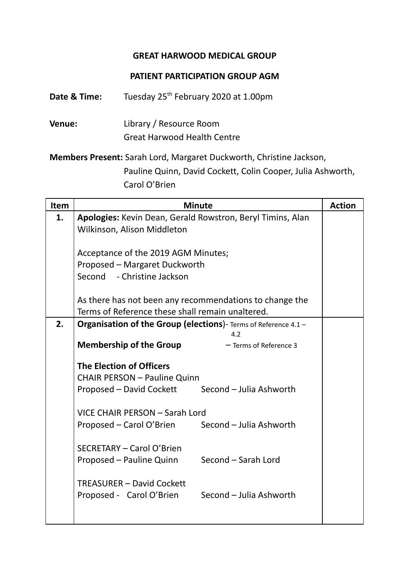## **GREAT HARWOOD MEDICAL GROUP**

## **PATIENT PARTICIPATION GROUP AGM**

**Date & Time:** Tuesday 25<sup>th</sup> February 2020 at 1.00pm

**Venue:** Library / Resource Room Great Harwood Health Centre

**Members Present:** Sarah Lord, Margaret Duckworth, Christine Jackson, Pauline Quinn, David Cockett, Colin Cooper, Julia Ashworth, Carol O'Brien

| Item | <b>Minute</b>                                                                             | <b>Action</b> |
|------|-------------------------------------------------------------------------------------------|---------------|
| 1.   | Apologies: Kevin Dean, Gerald Rowstron, Beryl Timins, Alan<br>Wilkinson, Alison Middleton |               |
|      | Acceptance of the 2019 AGM Minutes;                                                       |               |
|      | Proposed - Margaret Duckworth                                                             |               |
|      | Second - Christine Jackson                                                                |               |
|      | As there has not been any recommendations to change the                                   |               |
|      | Terms of Reference these shall remain unaltered.                                          |               |
| 2.   | Organisation of the Group (elections)- Terms of Reference 4.1 -<br>4.2                    |               |
|      | <b>Membership of the Group</b><br>- Terms of Reference 3                                  |               |
|      | <b>The Election of Officers</b><br><b>CHAIR PERSON - Pauline Quinn</b>                    |               |
|      | Proposed - David Cockett Second - Julia Ashworth                                          |               |
|      | VICE CHAIR PERSON - Sarah Lord                                                            |               |
|      | Proposed - Carol O'Brien Second - Julia Ashworth                                          |               |
|      | <b>SECRETARY - Carol O'Brien</b>                                                          |               |
|      | Proposed - Pauline Quinn Second - Sarah Lord                                              |               |
|      | <b>TREASURER - David Cockett</b><br>Proposed - Carol O'Brien Second - Julia Ashworth      |               |
|      |                                                                                           |               |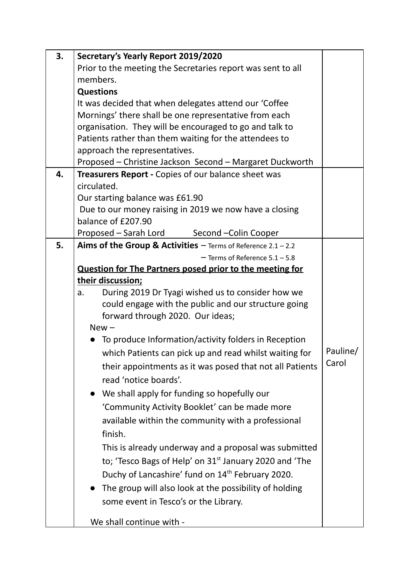| 3. | Secretary's Yearly Report 2019/2020                                                                             |          |
|----|-----------------------------------------------------------------------------------------------------------------|----------|
|    | Prior to the meeting the Secretaries report was sent to all                                                     |          |
|    | members.                                                                                                        |          |
|    | <b>Questions</b>                                                                                                |          |
|    | It was decided that when delegates attend our 'Coffee                                                           |          |
|    | Mornings' there shall be one representative from each                                                           |          |
|    | organisation. They will be encouraged to go and talk to                                                         |          |
|    | Patients rather than them waiting for the attendees to                                                          |          |
|    | approach the representatives.                                                                                   |          |
|    | Proposed - Christine Jackson Second - Margaret Duckworth                                                        |          |
| 4. | Treasurers Report - Copies of our balance sheet was                                                             |          |
|    | circulated.                                                                                                     |          |
|    | Our starting balance was £61.90                                                                                 |          |
|    | Due to our money raising in 2019 we now have a closing                                                          |          |
|    | balance of £207.90                                                                                              |          |
|    | Proposed - Sarah Lord Second - Colin Cooper                                                                     |          |
| 5. | Aims of the Group & Activities $-$ Terms of Reference 2.1 - 2.2                                                 |          |
|    | $-$ Terms of Reference $5.1 - 5.8$                                                                              |          |
|    | Question for The Partners posed prior to the meeting for                                                        |          |
|    | their discussion;                                                                                               |          |
|    | During 2019 Dr Tyagi wished us to consider how we<br>a.<br>could engage with the public and our structure going |          |
|    | forward through 2020. Our ideas;                                                                                |          |
|    | $New -$                                                                                                         |          |
|    | To produce Information/activity folders in Reception                                                            |          |
|    | which Patients can pick up and read whilst waiting for                                                          | Pauline/ |
|    |                                                                                                                 | Carol    |
|    | their appointments as it was posed that not all Patients                                                        |          |
|    | read 'notice boards'.                                                                                           |          |
|    | • We shall apply for funding so hopefully our                                                                   |          |
|    | 'Community Activity Booklet' can be made more                                                                   |          |
|    | available within the community with a professional                                                              |          |
|    | finish.                                                                                                         |          |
|    | This is already underway and a proposal was submitted                                                           |          |
|    | to; 'Tesco Bags of Help' on 31 <sup>st</sup> January 2020 and 'The                                              |          |
|    | Duchy of Lancashire' fund on 14 <sup>th</sup> February 2020.                                                    |          |
|    |                                                                                                                 |          |
|    | The group will also look at the possibility of holding                                                          |          |
|    | some event in Tesco's or the Library.                                                                           |          |
|    | We shall continue with -                                                                                        |          |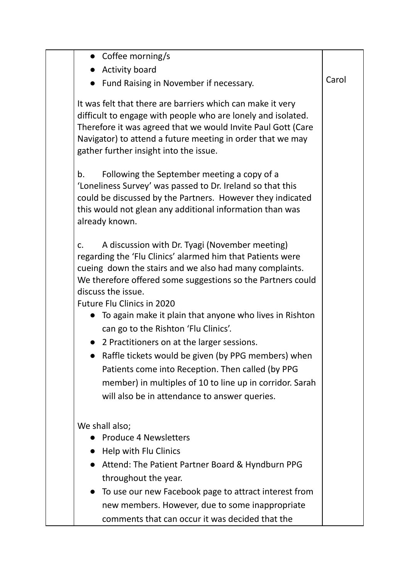|               | Coffee morning/s                                                                                                                                                                                                                                                                                                                                                                                                                                                                                                                                                                                                                                                     |       |
|---------------|----------------------------------------------------------------------------------------------------------------------------------------------------------------------------------------------------------------------------------------------------------------------------------------------------------------------------------------------------------------------------------------------------------------------------------------------------------------------------------------------------------------------------------------------------------------------------------------------------------------------------------------------------------------------|-------|
|               | <b>Activity board</b>                                                                                                                                                                                                                                                                                                                                                                                                                                                                                                                                                                                                                                                |       |
|               | Fund Raising in November if necessary.                                                                                                                                                                                                                                                                                                                                                                                                                                                                                                                                                                                                                               | Carol |
|               | It was felt that there are barriers which can make it very<br>difficult to engage with people who are lonely and isolated.<br>Therefore it was agreed that we would Invite Paul Gott (Care<br>Navigator) to attend a future meeting in order that we may<br>gather further insight into the issue.                                                                                                                                                                                                                                                                                                                                                                   |       |
| b.            | Following the September meeting a copy of a<br>'Loneliness Survey' was passed to Dr. Ireland so that this<br>could be discussed by the Partners. However they indicated<br>this would not glean any additional information than was<br>already known.                                                                                                                                                                                                                                                                                                                                                                                                                |       |
| $C_{\bullet}$ | A discussion with Dr. Tyagi (November meeting)<br>regarding the 'Flu Clinics' alarmed him that Patients were<br>cueing down the stairs and we also had many complaints.<br>We therefore offered some suggestions so the Partners could<br>discuss the issue.<br>Future Flu Clinics in 2020<br>To again make it plain that anyone who lives in Rishton<br>can go to the Rishton 'Flu Clinics'.<br>2 Practitioners on at the larger sessions.<br>Raffle tickets would be given (by PPG members) when<br>Patients come into Reception. Then called (by PPG<br>member) in multiples of 10 to line up in corridor. Sarah<br>will also be in attendance to answer queries. |       |
|               | We shall also;<br><b>Produce 4 Newsletters</b><br>Help with Flu Clinics<br>Attend: The Patient Partner Board & Hyndburn PPG<br>throughout the year.<br>To use our new Facebook page to attract interest from<br>new members. However, due to some inappropriate<br>comments that can occur it was decided that the                                                                                                                                                                                                                                                                                                                                                   |       |